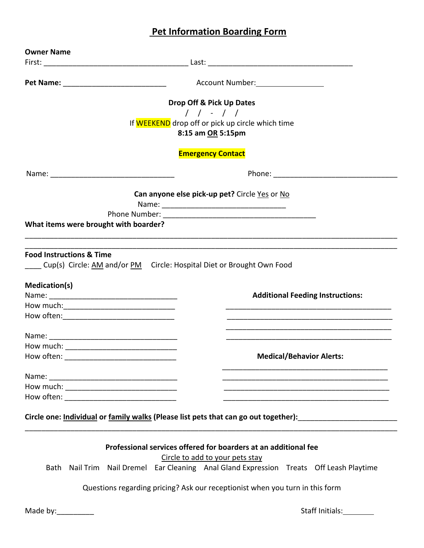# **Pet Information Boarding Form**

|                                                                        | Account Number: 1990 March 1990                                                     |
|------------------------------------------------------------------------|-------------------------------------------------------------------------------------|
|                                                                        | Drop Off & Pick Up Dates                                                            |
|                                                                        | $1 - 1$                                                                             |
|                                                                        | If WEEKEND drop off or pick up circle which time                                    |
|                                                                        | 8:15 am OR 5:15pm                                                                   |
|                                                                        | <b>Emergency Contact</b>                                                            |
|                                                                        | Phone: __________________________                                                   |
|                                                                        | Can anyone else pick-up pet? Circle Yes or No                                       |
|                                                                        |                                                                                     |
|                                                                        |                                                                                     |
| What items were brought with boarder?                                  |                                                                                     |
|                                                                        |                                                                                     |
|                                                                        |                                                                                     |
|                                                                        |                                                                                     |
| <b>Medication(s)</b><br>How often: ___________________________________ | <b>Additional Feeding Instructions:</b>                                             |
|                                                                        |                                                                                     |
|                                                                        | <b>Medical/Behavior Alerts:</b>                                                     |
|                                                                        |                                                                                     |
|                                                                        |                                                                                     |
|                                                                        |                                                                                     |
| How often:                                                             |                                                                                     |
|                                                                        | Circle one: Individual or family walks (Please list pets that can go out together): |

Circle to add to your pets stay

Bath Nail Trim Nail Dremel Ear Cleaning Anal Gland Expression Treats Off Leash Playtime

Questions regarding pricing? Ask our receptionist when you turn in this form

Made by:\_\_\_\_\_\_\_\_\_ Staff Initials: